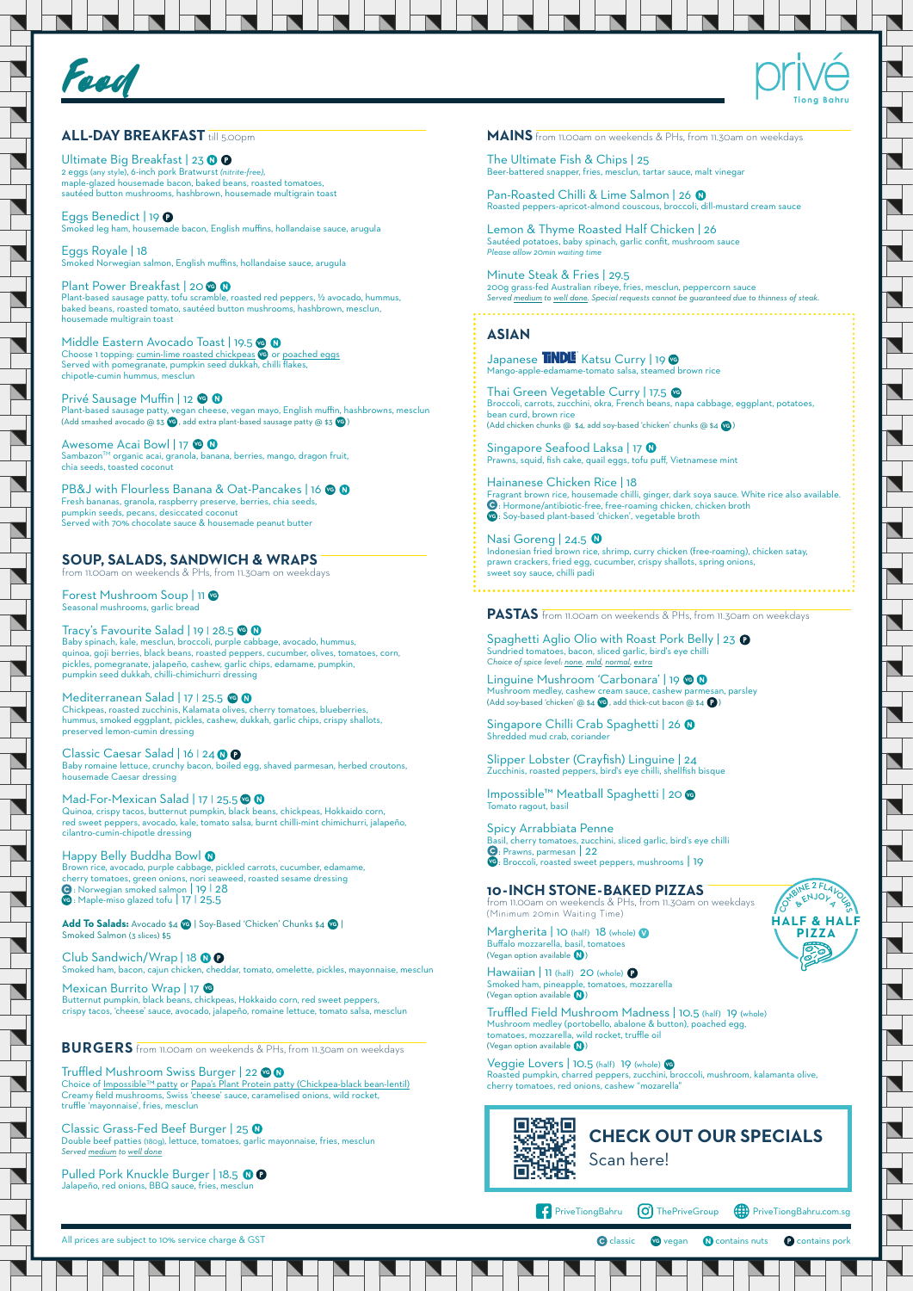



## **ALL-DAY BREAKFAST** till 5.00pm

All prices are subject to 10% service charge & GST

**C** classic **vG** vegan **N** contains nuts **C** contains pork

OTABINE 2 FLAVOUR **BILEMJOR** 

### **BURGERS** from 11.00am on weekends & PHs, from 11.30am on weekdays

Choice of Impossible™ patty or Papa's Plant Protein patty (Chickpea-black bean-lentil) Creamy field mushrooms, Swiss 'cheese' sauce, caramelised onions, wild rocket, truffle 'mayonnaise', fries, mesclun

Classic Grass-Fed Beef Burger | 25 0 Double beef patties (180g), lettuce, tomatoes, garlic mayonnaise, fries, mesclun *Served medium to well done*

Pulled Pork Knuckle Burger | 18.5 0 0 Jalapeño, red onions, BBQ sauce, fries, mesclun

# Truffled Mushroom Swiss Burger | 22 **VG**

# **SOUP, SALADS, SANDWICH & WRAPS**

from 11.00am on weekends & PHs, from 11.30am on weekdays

Classic Caesar Salad | 16 | 24 0 0 Baby romaine lettuce, crunchy bacon, boiled egg, shaved parmesan, herbed croutons, housemade Caesar dressing

Forest Mushroom Soup | 11 **VG** Seasonal mushrooms, garlic bread

Mad-For-Mexican Salad | 17 | 25.5 Quinoa, crispy tacos, butternut pumpkin, black beans, chickpeas, Hokkaido corn, red sweet peppers, avocado, kale, tomato salsa, burnt chilli-mint chimichurri, jalapeño, cilantro-cumin-chipotle dressing

Happy Belly Buddha Bowl <sup>0</sup> Brown rice, avocado, purple cabbage, pickled carrots, cucumber, edamame, cherry tomatoes, green onions, nori seaweed, roasted sesame dressing<br>● : Norwegian smoked salmon | 19 | 28 **vg**: Maple-miso glazed tofu | 17 | 25.5

Tracy's Favourite Salad | 19 | 28.5 **VG** Baby spinach, kale, mesclun, broccoli, purple cabbage, avocado, hummus, quinoa, goji berries, black beans, roasted peppers, cucumber, olives, tomatoes, corn, pickles, pomegranate, jalapeño, cashew, garlic chips, edamame, pumpkin, pumpkin seed dukkah, chilli-chimichurri dressing

Add To Salads: Avocado \$4 **VG** | Soy-Based 'Chicken' Chunks \$4 **VG** | Smoked Salmon (3 slices) \$5

Club Sandwich/Wrap | 18 0 0 Smoked ham, bacon, cajun chicken, cheddar, tomato, omelette, pickles, mayonnaise, mesclun

Mediterranean Salad | 17 | 25.5 **VG** Chickpeas, roasted zucchinis, Kalamata olives, cherry tomatoes, blueberries, hummus, smoked eggplant, pickles, cashew, dukkah, garlic chips, crispy shallots, preserved lemon-cumin dressing

Spaghetti Aglio Olio with Roast Pork Belly | 23 0 Sundried tomatoes, bacon, sliced garlic, bird's eye chilli *Choice of spice level: none, mild, normal, extra*

Linguine Mushroom 'Carbonara' | 19 **VG** Mushroom medley, cashew cream sauce, cashew parmesan, parsley (Add soy-based 'chicken' @ \$4 **VG** , add thick-cut bacon @ \$4 **P** )

Singapore Chilli Crab Spaghetti | 26 0 Shredded mud crab, coriander

Smoked ham, pineapple, tomatoes, mozzarella (Vegan option available  $\bigcirc$ )

Truffled Field Mushroom Madness | 10.5 (half) 19 (whole) Mushroom medley (portobello, abalone & button), poached egg, tomatoes, mozzarella, wild rocket, truffle oil (Vegan option available  $\bigcirc$ )

Pan-Roasted Chilli & Lime Salmon | 26 0 Roasted peppers-apricot-almond couscous, broccoli, dill-mustard cream sauce

Butternut pumpkin, black beans, chickpeas, Hokkaido corn, red sweet peppers, crispy tacos, 'cheese' sauce, avocado, jalapeño, romaine lettuce, tomato salsa, mesclun

Japanese **TINDLE** Katsu Curry | 19 **V**G Mango-apple-edamame-tomato salsa, steamed brown rice

> **HALF & HALF PIZZA**

Nasi Goreng | 24.5 Indonesian fried brown rice, shrimp, curry chicken (free-roaming), chicken satay, prawn crackers, fried egg, cucumber, crispy shallots, spring onions, sweet soy sauce, chilli padi

**PASTAS** from 11.00am on weekends & PHs, from 11.30am on weekdays

Ultimate Big Breakfast | 23 0 0 2 eggs (any style), 6-inch pork Bratwurst *(nitrite-free)*, maple-glazed housemade bacon, baked beans, roasted tomatoes, sautéed button mushrooms, hashbrown, housemade multigrain toast

Eggs Benedict | 19 <sup>0</sup> Smoked leg ham, housemade bacon, English muffins, hollandaise sauce, arugula

> Slipper Lobster (Crayfish) Linguine | 24 Zucchinis, roasted peppers, bird's eye chilli, shellfish bisque

Impossible™ Meatball Spaghetti | 20 **VG** Tomato ragout, basil

Privé Sausage Muffin | 12 **VG** Plant-based sausage patty, vegan cheese, vegan mayo, English muffin, hashbrowns, mesclun (Add smashed avocado @ \$3 **VG** , add extra plant-based sausage patty @ \$3 **VG** )

> Spicy Arrabbiata Penne Basil, cherry tomatoes, zucchini, sliced garlic, bird's eye chilli<br>©: Prawns, parmesan | 22 : Broccoli, roasted sweet peppers, mushrooms | 19 **VG**

# **10-INCH STONE-BAKED PIZZAS**

from 11.00am on weekends & PHs, from 11.30am on weekdays (Minimum 20min Waiting Time)

Margherita | 10 (half) 18 (whole) 0 Buffalo mozzarella, basil, tomatoes (Vegan option available  $\boxed{\mathbf{N}}$ )

 $H$ awaiian | 11 (half) 20 (whole)  $\Omega$ 



### Mexican Burrito Wrap | 17

### Veggie Lovers | 10.5 (half) 19 (whole) **VG**

Roasted pumpkin, charred peppers, zucchini, broccoli, mushroom, kalamanta olive, cherry tomatoes, red onions, cashew "mozarella"

**MAINS** from 11.00am on weekends & PHs, from 11.30am on weekdays

The Ultimate Fish & Chips | 25 Beer-battered snapper, fries, mesclun, tartar sauce, malt vinegar

Lemon & Thyme Roasted Half Chicken | 26 Sautéed potatoes, baby spinach, garlic confit, mushroom sauce *Please allow 20min waiting time*

Minute Steak & Fries | 29.5 200g grass-fed Australian ribeye, fries, mesclun, peppercorn sauce *Served medium to well done. Special requests cannot be guaranteed due to thinness of steak.*

# **ASIAN**

Singapore Seafood Laksa | 17 Prawns, squid, fish cake, quail eggs, tofu puff, Vietnamese mint

Thai Green Vegetable Curry | 17.5 **VG** Broccoli, carrots, zucchini, okra, French beans, napa cabbage, eggplant, potatoes, bean curd, brown rice (Add chicken chunks @ \$4, add soy-based 'chicken' chunks @ \$4 ) **VG**

Hainanese Chicken Rice | 18 Fragrant brown rice, housemade chilli, ginger, dark soya sauce. White rice also available.  $\bigcirc$ : Hormone/antibiotic-free, free-roaming chicken, chicken broth : Soy-based plant-based 'chicken', vegetable broth **VG**



**PriveTiongBahru**  $\bigcirc$  ThePriveGroup  $\bigcirc$  PriveTiongBahru.com.sg

Eggs Royale | 18 Smoked Norwegian salmon, English muffins, hollandaise sauce, arugula

Plant Power Breakfast | 20 **VG** Plant-based sausage patty, tofu scramble, roasted red peppers, ½ avocado, hummus, baked beans, roasted tomato, sautéed button mushrooms, hashbrown, mesclun, housemade multigrain toast

Middle Eastern Avocado Toast | 19.5 **VG**Choose 1 topping: cumin-lime roasted chickpeas **ve** or <u>poached eggs</u> Served with pomegranate, pumpkin seed dukkah, chilli flakes, chipotle-cumin hummus, mesclun

Awesome Acai Bowl | 17 **VG** Sambazon<sup>™</sup> organic acai, granola, banana, berries, mango, dragon fruit, chia seeds, toasted coconut

PB&J with Flourless Banana & Oat-Pancakes | 16 **VG** Fresh bananas, granola, raspberry preserve, berries, chia seeds, pumpkin seeds, pecans, desiccated coconut Served with 70% chocolate sauce & housemade peanut butter